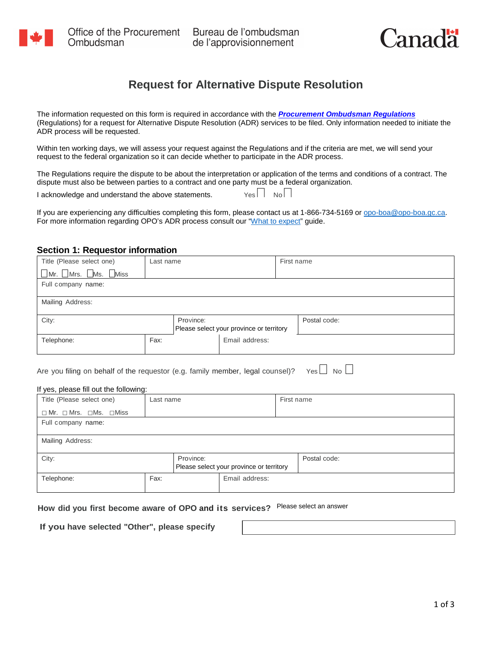

Bureau de l'ombudsman de l'approvisionnement



# **Request for Alternative Dispute Resolution**

The information requested on this form is required in accordance with the *[Procurement Ombudsman Regulations](http://laws-lois.justice.gc.ca/eng/regulations/SOR-2008-143/page-1.html)* (Regulations) for a request for Alternative Dispute Resolution (ADR) services to be filed. Only information needed to initiate the ADR process will be requested.

Within ten working days, we will assess your request against the Regulations and if the criteria are met, we will send your request to the federal organization so it can decide whether to participate in the ADR process.

The Regulations require the dispute to be about the interpretation or application of the terms and conditions of a contract. The dispute must also be between parties to a contract and one party must be a federal organization.

I acknowledge and understand the above statements.  $\Box$  Yes  $\Box$  No  $\Box$ 

If you are experiencing any difficulties completing this form, please contact us at 1-866-734-5169 o[r opo-boa@opo-boa.gc.ca.](mailto:opo-boa@opo-boa.gc.ca) For more information regarding OPO's ADR process consult our ["What to expect"](http://opo-boa.gc.ca/autresrapports-otherreports/red-adr-eng.html) guide.

#### **Section 1: Requestor information**

| Title (Please select one) | Last name |           |                                          | First name |              |
|---------------------------|-----------|-----------|------------------------------------------|------------|--------------|
| Mr. Mrs. Ms. Miss         |           |           |                                          |            |              |
| Full company name:        |           |           |                                          |            |              |
|                           |           |           |                                          |            |              |
| Mailing Address:          |           |           |                                          |            |              |
|                           |           |           |                                          |            |              |
| City:                     |           | Province: |                                          |            | Postal code: |
|                           |           |           | Please select your province or territory |            |              |
| Telephone:                | Fax:      |           | Email address:                           |            |              |
|                           |           |           |                                          |            |              |

#### If yes, please fill out the following:

|                                                                                 |           | Please select your province or territory |                    |  |  |
|---------------------------------------------------------------------------------|-----------|------------------------------------------|--------------------|--|--|
| Telephone:                                                                      | Fax:      | Email address:                           |                    |  |  |
| Are you filing on behalf of the requestor (e.g. family member, legal counsel)?  |           |                                          | $Yes \Box No \Box$ |  |  |
| If yes, please fill out the following:                                          |           |                                          |                    |  |  |
| Title (Please select one)                                                       | Last name |                                          | First name         |  |  |
| $\Box$ Mr. $\Box$ Mrs. $\Box$ Ms. $\Box$ Miss                                   |           |                                          |                    |  |  |
| Full company name:                                                              |           |                                          |                    |  |  |
| Mailing Address:                                                                |           |                                          |                    |  |  |
| City:<br>Province:                                                              |           | Please select your province or territory | Postal code:       |  |  |
| Telephone:                                                                      | Fax:      | Email address:                           |                    |  |  |
| How did you first become aware of OPO and its services? Please select an answer |           |                                          |                    |  |  |

**How did you first become aware of OPO and its services?** 

**If you have selected "Other", please specify**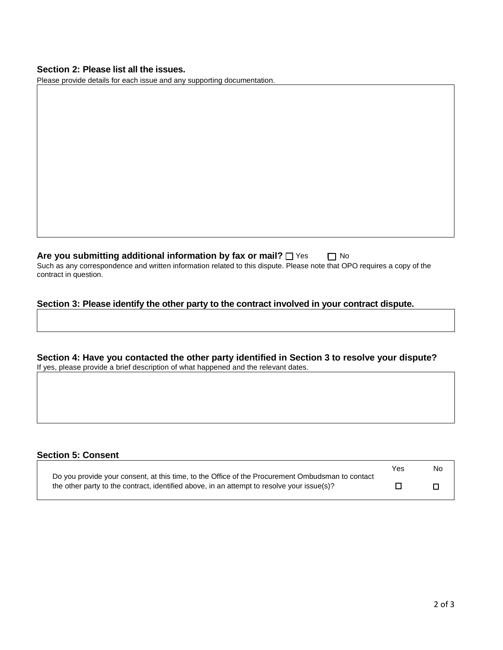### **Section 2: Please list all the issues.**

Please provide details for each issue and any supporting documentation.

**Are you submitting additional information by fax or mail?** □ Yes □ No Such as any correspondence and written information related to this dispute. Please note that OPO requires a copy of the contract in question.

### **Section 3: Please identify the other party to the contract involved in your contract dispute.**

**Section 4: Have you contacted the other party identified in Section 3 to resolve your dispute?** If yes, please provide a brief description of what happened and the relevant dates.

#### **Section 5: Consent**

|                                                                                                  | Yes | No |
|--------------------------------------------------------------------------------------------------|-----|----|
| Do you provide your consent, at this time, to the Office of the Procurement Ombudsman to contact |     |    |
| the other party to the contract, identified above, in an attempt to resolve your issue(s)?       |     |    |